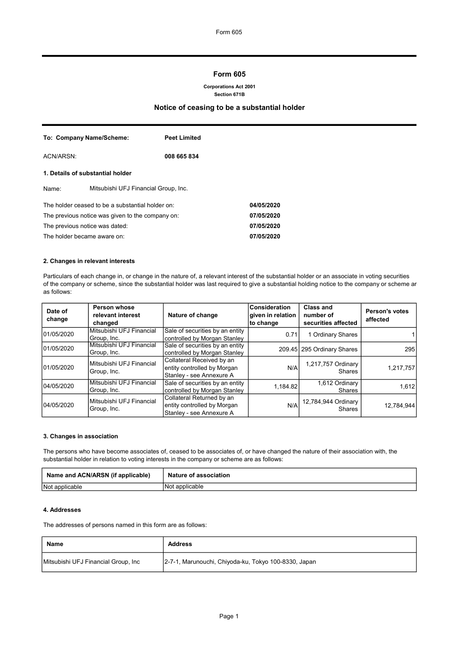## Form 605

#### Corporations Act 2001 Section 671B

## Notice of ceasing to be a substantial holder

|                                                  | To: Company Name/Scheme:             | <b>Peet Limited</b> |            |
|--------------------------------------------------|--------------------------------------|---------------------|------------|
| ACN/ARSN:                                        |                                      | 008 665 834         |            |
| 1. Details of substantial holder                 |                                      |                     |            |
| Name:                                            | Mitsubishi UFJ Financial Group, Inc. |                     |            |
| The holder ceased to be a substantial holder on: |                                      |                     | 04/05/2020 |
| The previous notice was given to the company on: |                                      | 07/05/2020          |            |
| The previous notice was dated:                   |                                      | 07/05/2020          |            |
| The holder became aware on:                      |                                      |                     | 07/05/2020 |

### 2. Changes in relevant interests

Particulars of each change in, or change in the nature of, a relevant interest of the substantial holder or an associate in voting securities of the company or scheme, since the substantial holder was last required to give a substantial holding notice to the company or scheme are as follows:

| Date of<br>change | Person whose<br>relevant interest<br>changed | Nature of change                                                                     | <b>Consideration</b><br>given in relation<br>to change | <b>Class and</b><br>number of<br>securities affected | <b>Person's votes</b><br>affected |
|-------------------|----------------------------------------------|--------------------------------------------------------------------------------------|--------------------------------------------------------|------------------------------------------------------|-----------------------------------|
| 01/05/2020        | Mitsubishi UFJ Financial<br>Group, Inc.      | Sale of securities by an entity<br>controlled by Morgan Stanley                      | 0.71                                                   | 1 Ordinary Shares                                    |                                   |
| 01/05/2020        | Mitsubishi UFJ Financial<br>Group, Inc.      | Sale of securities by an entity<br>controlled by Morgan Stanley                      |                                                        | 209.45 295 Ordinary Shares                           | 295                               |
| 01/05/2020        | Mitsubishi UFJ Financial<br>Group, Inc.      | Collateral Received by an<br>entity controlled by Morgan<br>Stanley - see Annexure A | N/A                                                    | 1,217,757 Ordinary<br>Shares                         | 1,217,757                         |
| 104/05/2020       | Mitsubishi UFJ Financial<br>Group, Inc.      | Sale of securities by an entity<br>controlled by Morgan Stanley                      | 1,184.82                                               | 1,612 Ordinary<br>Shares                             | 1,612                             |
| 04/05/2020        | Mitsubishi UFJ Financial<br>Group, Inc.      | Collateral Returned by an<br>entity controlled by Morgan<br>Stanley - see Annexure A | N/A                                                    | 12,784,944 Ordinary<br><b>Shares</b>                 | 12,784,944                        |

#### 3. Changes in association

The persons who have become associates of, ceased to be associates of, or have changed the nature of their association with, the substantial holder in relation to voting interests in the company or scheme are as follows:

| Name and ACN/ARSN (if applicable) | Nature of association |
|-----------------------------------|-----------------------|
| Not applicable                    | 'Not<br>: applicable  |

## 4. Addresses

The addresses of persons named in this form are as follows:

| Name                                | <b>Address</b>                                       |
|-------------------------------------|------------------------------------------------------|
| Mitsubishi UFJ Financial Group, Inc | 2-7-1, Marunouchi, Chiyoda-ku, Tokyo 100-8330, Japan |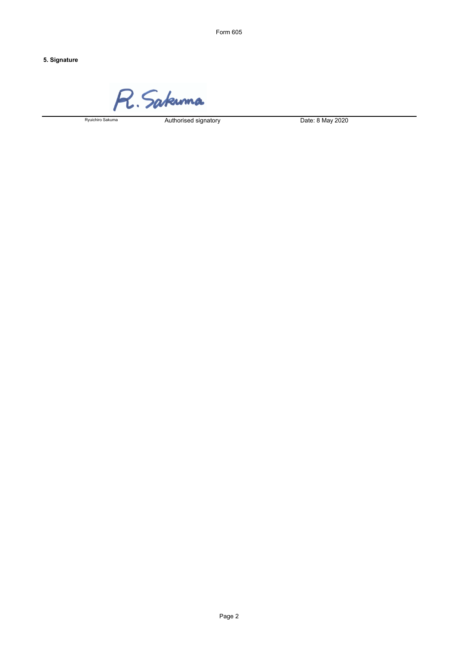Form 605

# 5. Signature

R. Sakuma

Ryuichiro Sakuma

Authorised signatory Date: 8 May 2020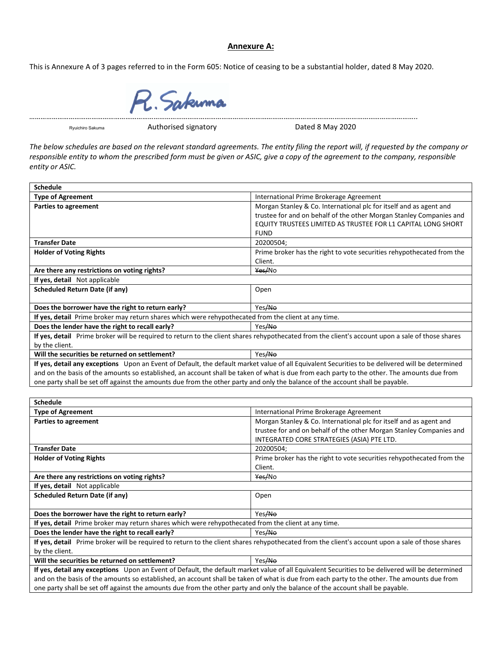# **Annexure A:**

This is Annexure A of 3 pages referred to in the Form 605: Notice of ceasing to be a substantial holder, dated 8 May 2020.



Ryuichiro Sakuma

Authorised signatory **Dated 8 May 2020** 

*The below schedules are based on the relevant standard agreements. The entity filing the report will, if requested by the company or responsible entity to whom the prescribed form must be given or ASIC, give a copy of the agreement to the company, responsible entity or ASIC.*

| <b>Type of Agreement</b>                                                                                                                         | International Prime Brokerage Agreement                               |  |
|--------------------------------------------------------------------------------------------------------------------------------------------------|-----------------------------------------------------------------------|--|
| <b>Parties to agreement</b>                                                                                                                      | Morgan Stanley & Co. International plc for itself and as agent and    |  |
|                                                                                                                                                  | trustee for and on behalf of the other Morgan Stanley Companies and   |  |
|                                                                                                                                                  | EQUITY TRUSTEES LIMITED AS TRUSTEE FOR L1 CAPITAL LONG SHORT          |  |
|                                                                                                                                                  | <b>FUND</b>                                                           |  |
| <b>Transfer Date</b>                                                                                                                             | 20200504;                                                             |  |
| <b>Holder of Voting Rights</b>                                                                                                                   | Prime broker has the right to vote securities rehypothecated from the |  |
|                                                                                                                                                  | Client.                                                               |  |
| Are there any restrictions on voting rights?                                                                                                     | Yes/No                                                                |  |
| If yes, detail Not applicable                                                                                                                    |                                                                       |  |
| <b>Scheduled Return Date (if any)</b>                                                                                                            | Open                                                                  |  |
|                                                                                                                                                  |                                                                       |  |
| Does the borrower have the right to return early?                                                                                                | Yes/No                                                                |  |
| If yes, detail Prime broker may return shares which were rehypothecated from the client at any time.                                             |                                                                       |  |
| Does the lender have the right to recall early?                                                                                                  | Yes <del>/No</del>                                                    |  |
| If yes, detail Prime broker will be required to return to the client shares rehypothecated from the client's account upon a sale of those shares |                                                                       |  |
| by the client.                                                                                                                                   |                                                                       |  |
| Will the securities be returned on settlement?                                                                                                   | Yes/No                                                                |  |
| If yes, detail any exceptions Upon an Event of Default, the default market value of all Equivalent Securities to be delivered will be determined |                                                                       |  |
| and on the basis of the amounts so established, an account shall be taken of what is due from each party to the other. The amounts due from      |                                                                       |  |
| one party shall be set off against the amounts due from the other party and only the balance of the account shall be payable.                    |                                                                       |  |
|                                                                                                                                                  |                                                                       |  |
| <b>Schedule</b>                                                                                                                                  |                                                                       |  |
| <b>Type of Agreement</b>                                                                                                                         |                                                                       |  |
|                                                                                                                                                  | International Prime Brokerage Agreement                               |  |
| <b>Parties to agreement</b>                                                                                                                      | Morgan Stanley & Co. International plc for itself and as agent and    |  |
|                                                                                                                                                  | trustee for and on behalf of the other Morgan Stanley Companies and   |  |
|                                                                                                                                                  | INTEGRATED CORE STRATEGIES (ASIA) PTE LTD.                            |  |
| <b>Transfer Date</b>                                                                                                                             | 20200504;                                                             |  |
| <b>Holder of Voting Rights</b>                                                                                                                   | Prime broker has the right to vote securities rehypothecated from the |  |
|                                                                                                                                                  | Client.                                                               |  |
| Are there any restrictions on voting rights?                                                                                                     | Yes/No                                                                |  |
| If yes, detail Not applicable                                                                                                                    |                                                                       |  |
| <b>Scheduled Return Date (if any)</b>                                                                                                            | Open                                                                  |  |
|                                                                                                                                                  |                                                                       |  |
| Does the borrower have the right to return early?                                                                                                | Yes/No                                                                |  |
| If yes, detail Prime broker may return shares which were rehypothecated from the client at any time.                                             |                                                                       |  |
| Does the lender have the right to recall early?                                                                                                  | Yes/No                                                                |  |
| If yes, detail Prime broker will be required to return to the client shares rehypothecated from the client's account upon a sale of those shares |                                                                       |  |
| by the client.                                                                                                                                   |                                                                       |  |
| Will the securities be returned on settlement?                                                                                                   | Yes/No                                                                |  |
| If yes, detail any exceptions Upon an Event of Default, the default market value of all Equivalent Securities to be delivered will be determined |                                                                       |  |
| and on the basis of the amounts so established, an account shall be taken of what is due from each party to the other. The amounts due from      |                                                                       |  |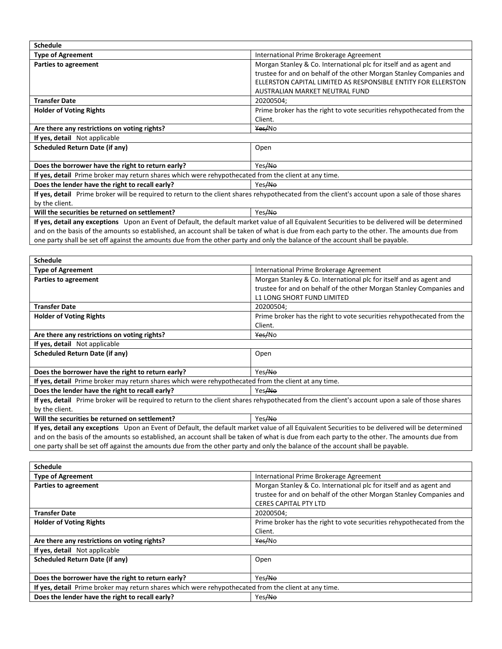| <b>Schedule</b>                                                                                                                                  |                                                                       |  |
|--------------------------------------------------------------------------------------------------------------------------------------------------|-----------------------------------------------------------------------|--|
| <b>Type of Agreement</b>                                                                                                                         | International Prime Brokerage Agreement                               |  |
| Parties to agreement                                                                                                                             | Morgan Stanley & Co. International plc for itself and as agent and    |  |
|                                                                                                                                                  | trustee for and on behalf of the other Morgan Stanley Companies and   |  |
|                                                                                                                                                  | ELLERSTON CAPITAL LIMITED AS RESPONSIBLE ENTITY FOR ELLERSTON         |  |
|                                                                                                                                                  | AUSTRALIAN MARKET NEUTRAL FUND                                        |  |
| <b>Transfer Date</b>                                                                                                                             | 20200504;                                                             |  |
| <b>Holder of Voting Rights</b>                                                                                                                   | Prime broker has the right to vote securities rehypothecated from the |  |
|                                                                                                                                                  | Client.                                                               |  |
| Are there any restrictions on voting rights?                                                                                                     | Yes/No                                                                |  |
| If yes, detail Not applicable                                                                                                                    |                                                                       |  |
| Scheduled Return Date (if any)                                                                                                                   | Open                                                                  |  |
|                                                                                                                                                  |                                                                       |  |
| Does the borrower have the right to return early?                                                                                                | Yes/No                                                                |  |
| If yes, detail Prime broker may return shares which were rehypothecated from the client at any time.                                             |                                                                       |  |
| Does the lender have the right to recall early?                                                                                                  | Yes/No                                                                |  |
| If yes, detail Prime broker will be required to return to the client shares rehypothecated from the client's account upon a sale of those shares |                                                                       |  |
| by the client.                                                                                                                                   |                                                                       |  |
| Will the securities be returned on settlement?                                                                                                   | Yes/No                                                                |  |

**If yes, detail any exceptions** Upon an Event of Default, the default market value of all Equivalent Securities to be delivered will be determined and on the basis of the amounts so established, an account shall be taken of what is due from each party to the other. The amounts due from one party shall be set off against the amounts due from the other party and only the balance of the account shall be payable.

| <b>Schedule</b>                                                                                                                                  |                                                                       |  |
|--------------------------------------------------------------------------------------------------------------------------------------------------|-----------------------------------------------------------------------|--|
| <b>Type of Agreement</b>                                                                                                                         | International Prime Brokerage Agreement                               |  |
| Parties to agreement                                                                                                                             | Morgan Stanley & Co. International plc for itself and as agent and    |  |
|                                                                                                                                                  | trustee for and on behalf of the other Morgan Stanley Companies and   |  |
|                                                                                                                                                  | <b>L1 LONG SHORT FUND LIMITED</b>                                     |  |
| <b>Transfer Date</b>                                                                                                                             | 20200504;                                                             |  |
| <b>Holder of Voting Rights</b>                                                                                                                   | Prime broker has the right to vote securities rehypothecated from the |  |
|                                                                                                                                                  | Client.                                                               |  |
| Are there any restrictions on voting rights?                                                                                                     | Yes/No                                                                |  |
| If yes, detail Not applicable                                                                                                                    |                                                                       |  |
| Scheduled Return Date (if any)                                                                                                                   | Open                                                                  |  |
|                                                                                                                                                  |                                                                       |  |
| Does the borrower have the right to return early?                                                                                                | Yes/No                                                                |  |
| If yes, detail Prime broker may return shares which were rehypothecated from the client at any time.                                             |                                                                       |  |
| Does the lender have the right to recall early?                                                                                                  | Yes <del>/No</del>                                                    |  |
| If yes, detail Prime broker will be required to return to the client shares rehypothecated from the client's account upon a sale of those shares |                                                                       |  |
| by the client.                                                                                                                                   |                                                                       |  |
| Will the securities be returned on settlement?                                                                                                   | Yes/No                                                                |  |
| If yes, detail any exceptions Upon an Event of Default, the default market value of all Equivalent Securities to be delivered will be determined |                                                                       |  |
| and on the basis of the amounts so established, an account shall be taken of what is due from each party to the other. The amounts due from      |                                                                       |  |
|                                                                                                                                                  |                                                                       |  |

one party shall be set off against the amounts due from the other party and only the balance of the account shall be payable.

| <b>Schedule</b>                                                                                      |                                                                       |  |
|------------------------------------------------------------------------------------------------------|-----------------------------------------------------------------------|--|
| <b>Type of Agreement</b>                                                                             | International Prime Brokerage Agreement                               |  |
| Parties to agreement                                                                                 | Morgan Stanley & Co. International plc for itself and as agent and    |  |
|                                                                                                      | trustee for and on behalf of the other Morgan Stanley Companies and   |  |
|                                                                                                      | <b>CERES CAPITAL PTY LTD</b>                                          |  |
| <b>Transfer Date</b>                                                                                 | 20200504:                                                             |  |
| <b>Holder of Voting Rights</b>                                                                       | Prime broker has the right to vote securities rehypothecated from the |  |
|                                                                                                      | Client.                                                               |  |
| Are there any restrictions on voting rights?                                                         | Yes/No                                                                |  |
| If yes, detail Not applicable                                                                        |                                                                       |  |
| Scheduled Return Date (if any)                                                                       | Open                                                                  |  |
|                                                                                                      |                                                                       |  |
| Does the borrower have the right to return early?                                                    | Yes/No                                                                |  |
| If yes, detail Prime broker may return shares which were rehypothecated from the client at any time. |                                                                       |  |
| Does the lender have the right to recall early?<br>Yes/No                                            |                                                                       |  |